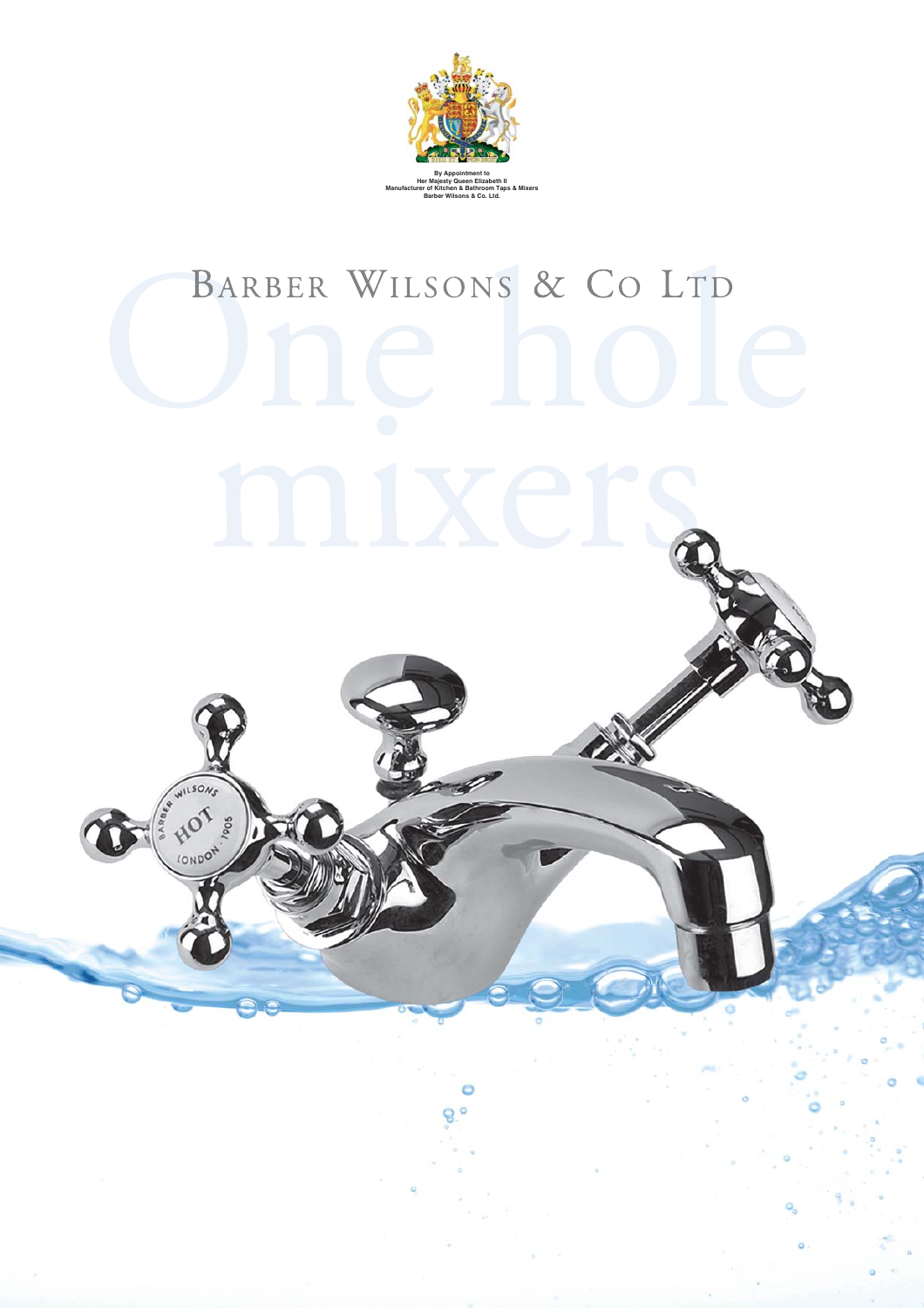

## BARBER WILSONS & CO LTD mixers

**CONDON**